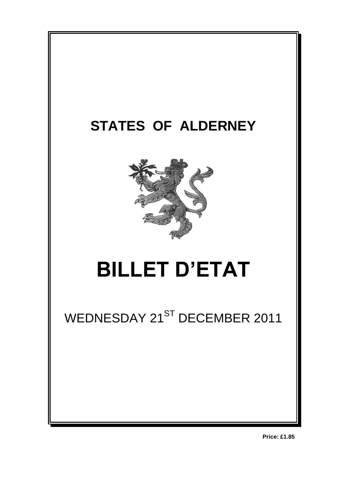

**Price: £1.85**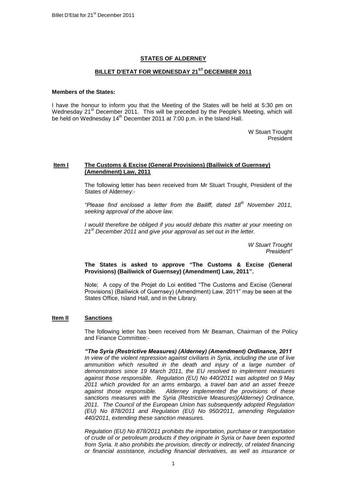# **STATES OF ALDERNEY**

# **BILLET D'ETAT FOR WEDNESDAY 21ST DECEMBER 2011**

## **Members of the States:**

I have the honour to inform you that the Meeting of the States will be held at 5:30 pm on Wednesday 21<sup>st</sup> December 2011. This will be preceded by the People's Meeting, which will be held on Wednesday 14<sup>th</sup> December 2011 at 7:00 p.m. in the Island Hall.

> W Stuart Trought President

## **Item I The Customs & Excise (General Provisions) (Bailiwick of Guernsey) (Amendment) Law, 2011**

The following letter has been received from Mr Stuart Trought, President of the States of Alderney:-

*"Please find enclosed a letter from the Bailiff, dated 18th November 2011, seeking approval of the above law.*

*I* would therefore be obliged if you would debate this matter at your meeting on *21st December 2011 and give your approval as set out in the letter.*

> *W Stuart Trought President"*

## **The States is asked to approve "The Customs & Excise (General Provisions) (Bailiwick of Guernsey) (Amendment) Law, 2011".**

Note; A copy of the Projet do Loi entitled "The Customs and Excise (General Provisions) (Bailiwick of Guernsey) (Amendment) Law, 2011" may be seen at the States Office, Island Hall, and in the Library.

## **Item II Sanctions**

The following letter has been received from Mr Beaman, Chairman of the Policy and Finance Committee:-

*"The Syria (Restrictive Measures) (Alderney) (Amendment) Ordinance, 2011 In view of the violent repression against civilians in Syria, including the use of live*  ammunition which resulted in the death and injury of a large number of *demonstrators since 19 March 2011, the EU resolved to implement measures against those responsible. Regulation (EU) No 440/2011 was adopted on 9 May 2011 which provided for an arms embargo, a travel ban and an asset freeze against those responsible. Alderney implemented the provisions of these sanctions measures with the Syria (Restrictive Measures)(Alderney) Ordinance, 2011. The Council of the European Union has subsequently adopted Regulation (EU) No 878/2011 and Regulation (EU) No 950/2011, amending Regulation 440/2011, extending these sanction measures.* 

*Regulation (EU) No 878/2011 prohibits the importation, purchase or transportation of crude oil or petroleum products if they originate in Syria or have been exported from Syria. It also prohibits the provision, directly or indirectly, of related financing or financial assistance, including financial derivatives, as well as insurance or*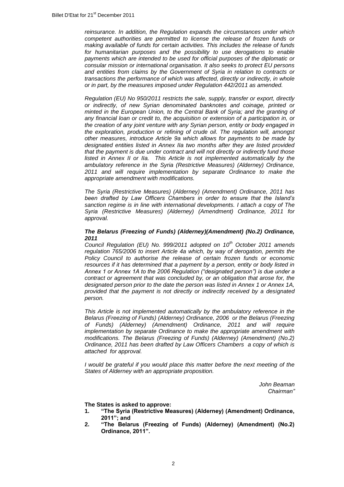*reinsurance. In addition, the Regulation expands the circumstances under which competent authorities are permitted to license the release of frozen funds or making available of funds for certain activities. This includes the release of funds for humanitarian purposes and the possibility to use derogations to enable payments which are intended to be used for official purposes of the diplomatic or consular mission or international organisation. It also seeks to protect EU persons and entities from claims by the Government of Syria in relation to contracts or transactions the performance of which was affected, directly or indirectly, in whole or in part, by the measures imposed under Regulation 442/2011 as amended.* 

*Regulation (EU) No 950/2011 restricts the sale, supply, transfer or export, directly or indirectly, of new Syrian denominated banknotes and coinage, printed or minted in the European Union, to the Central Bank of Syria; and the granting of any financial loan or credit to, the acquisition or extension of a participation in, or the creation of any joint venture with any Syrian person, entity or body engaged in the exploration, production or refining of crude oil. The regulation will, amongst other measures, introduce Article 9a which allows for payments to be made by designated entities listed in Annex IIa two months after they are listed provided that the payment is due under contract and will not directly or indirectly fund those listed in Annex II or IIa. This Article is not implemented automatically by the ambulatory reference in the Syria (Restrictive Measures) (Alderney) Ordinance, 2011 and will require implementation by separate Ordinance to make the appropriate amendment with modifications.*

*The Syria (Restrictive Measures) (Alderney) (Amendment) Ordinance, 2011 has been drafted by Law Officers Chambers in order to ensure that the Island's sanction regime is in line with international developments. I attach a copy of The Syria (Restrictive Measures) (Alderney) (Amendment) Ordinance, 2011 for approval.*

## *The Belarus (Freezing of Funds) (Alderney)(Amendment) (No.2) Ordinance, 2011*

*Council Regulation (EU) No. 999/2011 adopted on 10th October 2011 amends regulation 765/2006 to insert Article 4a which, by way of derogation, permits the Policy Council to authorise the release of certain frozen funds or economic resources if it has determined that a payment by a person, entity or body listed in Annex 1 or Annex 1A to the 2006 Regulation ("designated person") is due under a contract or agreement that was concluded by, or an obligation that arose for, the designated person prior to the date the person was listed in Annex 1 or Annex 1A, provided that the payment is not directly or indirectly received by a designated person.*

*This Article is not implemented automatically by the ambulatory reference in the Belarus (Freezing of Funds) (Alderney) Ordinance, 2006 or the Belarus (Freezing of Funds) (Alderney) (Amendment) Ordinance, 2011 and will require implementation by separate Ordinance to make the appropriate amendment with modifications. The Belarus (Freezing of Funds) (Alderney) (Amendment) (No.2) Ordinance, 2011 has been drafted by Law Officers Chambers a copy of which is attached for approval.*

*I* would be grateful if you would place this matter before the next meeting of the *States of Alderney with an appropriate proposition.*

> *John Beaman Chairman"*

**The States is asked to approve:**

- **1. "The Syria (Restrictive Measures) (Alderney) (Amendment) Ordinance, 2011"; and**
- **2. "The Belarus (Freezing of Funds) (Alderney) (Amendment) (No.2) Ordinance, 2011".**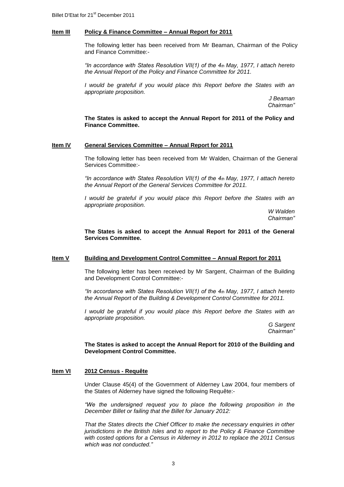### **Item III Policy & Finance Committee – Annual Report for 2011**

The following letter has been received from Mr Beaman, Chairman of the Policy and Finance Committee:-

*"In accordance with States Resolution VII(1) of the 4th May, 1977, I attach hereto the Annual Report of the Policy and Finance Committee for 2011.*

*I* would be grateful if you would place this Report before the States with an *appropriate proposition.*

> *J Beaman Chairman"*

**The States is asked to accept the Annual Report for 2011 of the Policy and Finance Committee.**

### **Item IV General Services Committee – Annual Report for 2011**

The following letter has been received from Mr Walden, Chairman of the General Services Committee:-

*"In accordance with States Resolution VII(1) of the 4th May, 1977, I attach hereto the Annual Report of the General Services Committee for 2011.*

*I* would be grateful if you would place this Report before the States with an *appropriate proposition.*

> *W Walden Chairman"*

**The States is asked to accept the Annual Report for 2011 of the General Services Committee.**

#### **Item V Building and Development Control Committee – Annual Report for 2011**

The following letter has been received by Mr Sargent, Chairman of the Building and Development Control Committee:-

*"In accordance with States Resolution VII(1) of the 4th May, 1977, I attach hereto the Annual Report of the Building & Development Control Committee for 2011.*

*I* would be grateful if you would place this Report before the States with an *appropriate proposition.*

> *G Sargent Chairman"*

**The States is asked to accept the Annual Report for 2010 of the Building and Development Control Committee.**

## **Item VI 2012 Census - Requête**

Under Clause 45(4) of the Government of Alderney Law 2004, four members of the States of Alderney have signed the following Requête:-

*"We the undersigned request you to place the following proposition in the December Billet or failing that the Billet for January 2012:*

*That the States directs the Chief Officer to make the necessary enquiries in other jurisdictions in the British Isles and to report to the Policy & Finance Committee with costed options for a Census in Alderney in 2012 to replace the 2011 Census which was not conducted."*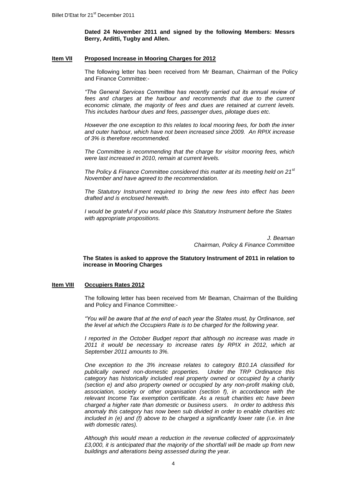**Dated 24 November 2011 and signed by the following Members: Messrs Berry, Arditti, Tugby and Allen.**

### **Item VII Proposed Increase in Mooring Charges for 2012**

The following letter has been received from Mr Beaman, Chairman of the Policy and Finance Committee:-

*"The General Services Committee has recently carried out its annual review of fees and charges at the harbour and recommends that due to the current economic climate, the majority of fees and dues are retained at current levels. This includes harbour dues and fees, passenger dues, pilotage dues etc.*

*However the one exception to this relates to local mooring fees, for both the inner and outer harbour, which have not been increased since 2009. An RPIX increase of 3% is therefore recommended.*

*The Committee is recommending that the charge for visitor mooring fees, which were last increased in 2010, remain at current levels.*

*The Policy & Finance Committee considered this matter at its meeting held on 21st November and have agreed to the recommendation.*

*The Statutory Instrument required to bring the new fees into effect has been drafted and is enclosed herewith.* 

*I would be grateful if you would place this Statutory Instrument before the States with appropriate propositions.*

> *J. Beaman Chairman, Policy & Finance Committee*

**The States is asked to approve the Statutory Instrument of 2011 in relation to increase in Mooring Charges**

## **Item VIII Occupiers Rates 2012**

The following letter has been received from Mr Beaman, Chairman of the Building and Policy and Finance Committee:-

*"You will be aware that at the end of each year the States must, by Ordinance, set the level at which the Occupiers Rate is to be charged for the following year.*

*I reported in the October Budget report that although no increase was made in 2011 it would be necessary to increase rates by RPIX in 2012, which at September 2011 amounts to 3%.*

*One exception to the 3% increase relates to category B10.1A classified for publically owned non-domestic properties. Under the TRP Ordinance this category has historically included real property owned or occupied by a charity (section e) and also property owned or occupied by any non-profit making club, association, society or other organisation (section f), in accordance with the relevant Income Tax exemption certificate. As a result charities etc have been charged a higher rate than domestic or business users. In order to address this anomaly this category has now been sub divided in order to enable charities etc included in (e) and (f) above to be charged a significantly lower rate (i.e. in line with domestic rates).* 

*Although this would mean a reduction in the revenue collected of approximately £3,000, it is anticipated that the majority of the shortfall will be made up from new buildings and alterations being assessed during the year.*